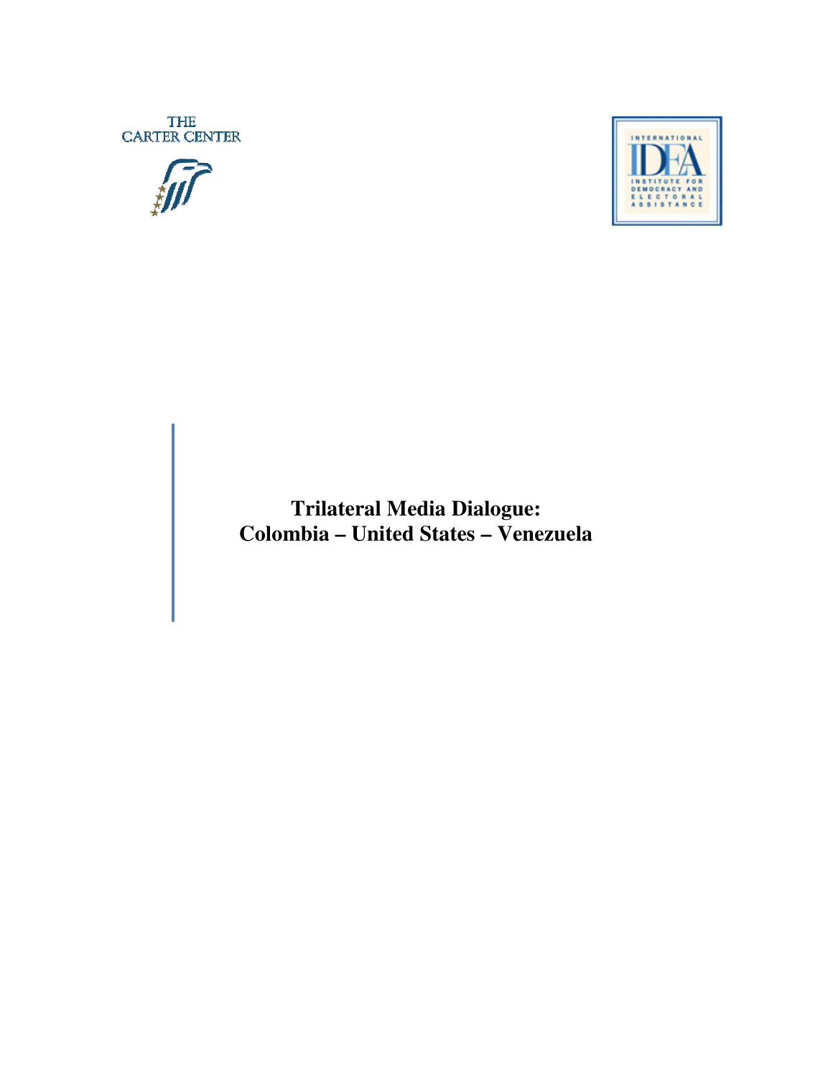THE CARTER CENTER





**Trilateral Media Dialogue: Colombia – United States – Venezuela**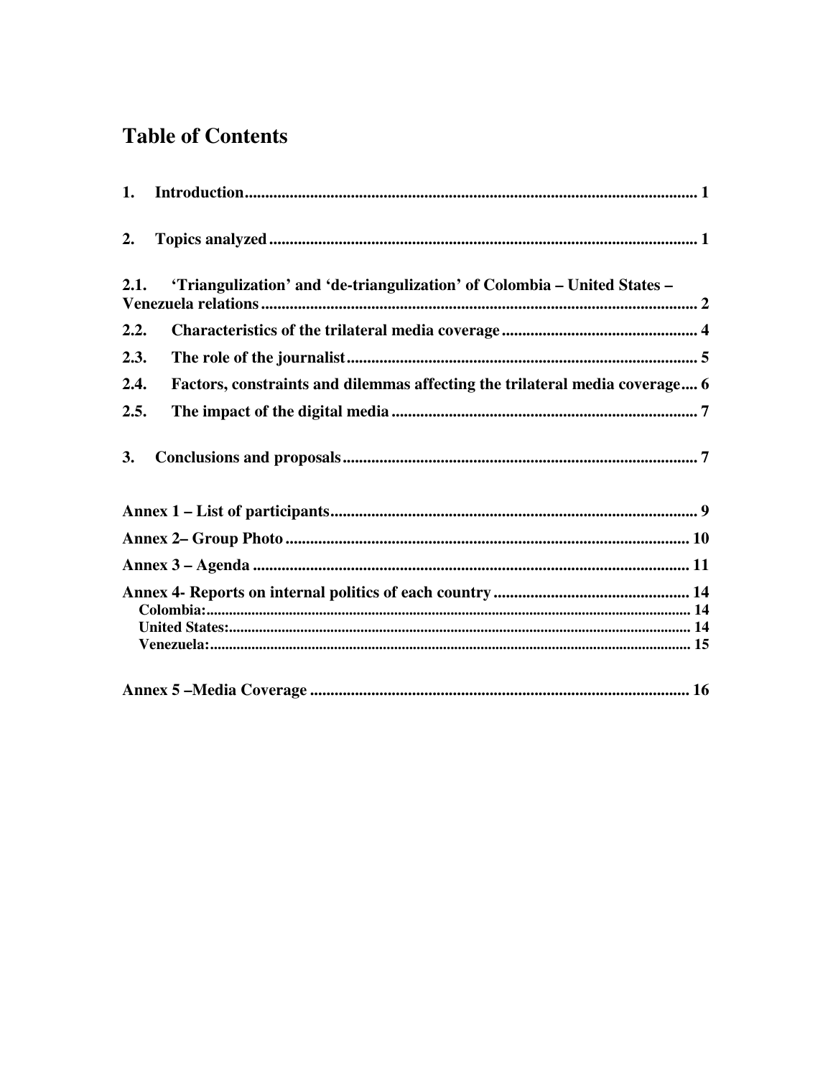# **Table of Contents**

| 2.   |                                                                             |
|------|-----------------------------------------------------------------------------|
| 2.1. | 'Triangulization' and 'de-triangulization' of Colombia - United States -    |
| 2.2. |                                                                             |
| 2.3. |                                                                             |
| 2.4. | Factors, constraints and dilemmas affecting the trilateral media coverage 6 |
| 2.5. |                                                                             |
| 3.   |                                                                             |
|      |                                                                             |
|      |                                                                             |
|      |                                                                             |
|      |                                                                             |
|      |                                                                             |
|      |                                                                             |
|      |                                                                             |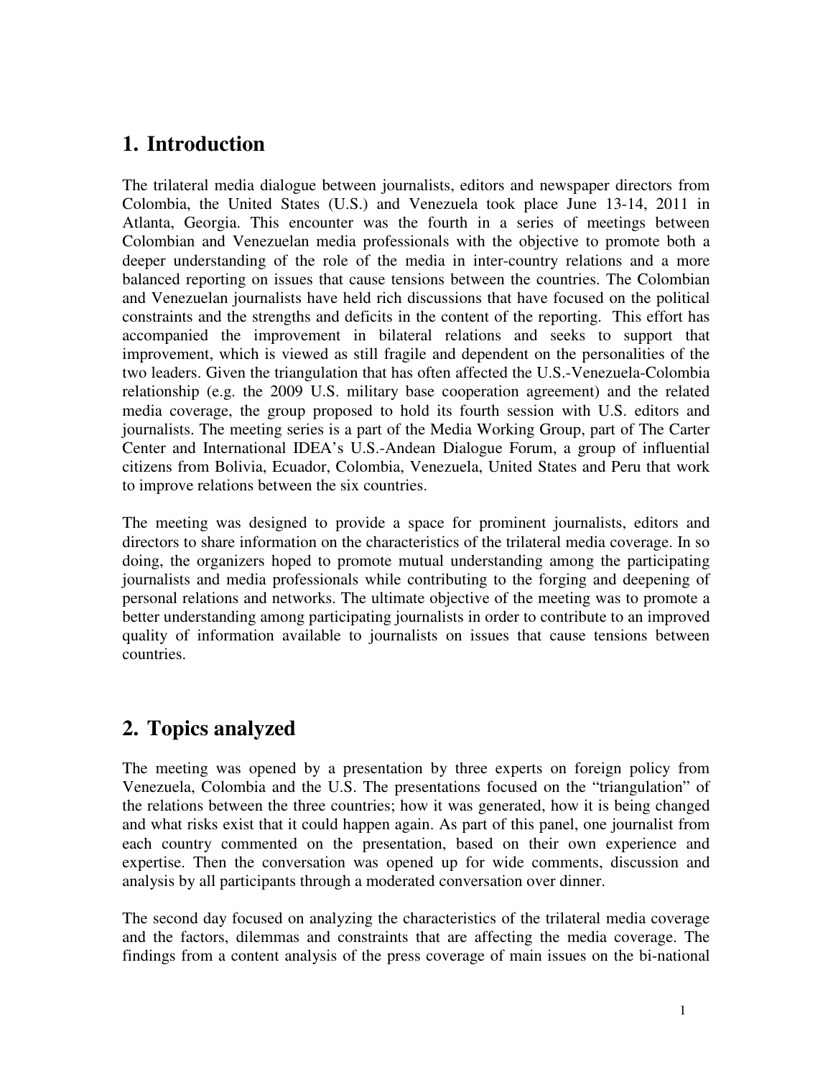## **1. Introduction**

The trilateral media dialogue between journalists, editors and newspaper directors from Colombia, the United States (U.S.) and Venezuela took place June 13-14, 2011 in Atlanta, Georgia. This encounter was the fourth in a series of meetings between Colombian and Venezuelan media professionals with the objective to promote both a deeper understanding of the role of the media in inter-country relations and a more balanced reporting on issues that cause tensions between the countries. The Colombian and Venezuelan journalists have held rich discussions that have focused on the political constraints and the strengths and deficits in the content of the reporting. This effort has accompanied the improvement in bilateral relations and seeks to support that improvement, which is viewed as still fragile and dependent on the personalities of the two leaders. Given the triangulation that has often affected the U.S.-Venezuela-Colombia relationship (e.g. the 2009 U.S. military base cooperation agreement) and the related media coverage, the group proposed to hold its fourth session with U.S. editors and journalists. The meeting series is a part of the Media Working Group, part of The Carter Center and International IDEA's U.S.-Andean Dialogue Forum, a group of influential citizens from Bolivia, Ecuador, Colombia, Venezuela, United States and Peru that work to improve relations between the six countries.

The meeting was designed to provide a space for prominent journalists, editors and directors to share information on the characteristics of the trilateral media coverage. In so doing, the organizers hoped to promote mutual understanding among the participating journalists and media professionals while contributing to the forging and deepening of personal relations and networks. The ultimate objective of the meeting was to promote a better understanding among participating journalists in order to contribute to an improved quality of information available to journalists on issues that cause tensions between countries.

# **2. Topics analyzed**

The meeting was opened by a presentation by three experts on foreign policy from Venezuela, Colombia and the U.S. The presentations focused on the "triangulation" of the relations between the three countries; how it was generated, how it is being changed and what risks exist that it could happen again. As part of this panel, one journalist from each country commented on the presentation, based on their own experience and expertise. Then the conversation was opened up for wide comments, discussion and analysis by all participants through a moderated conversation over dinner.

The second day focused on analyzing the characteristics of the trilateral media coverage and the factors, dilemmas and constraints that are affecting the media coverage. The findings from a content analysis of the press coverage of main issues on the bi-national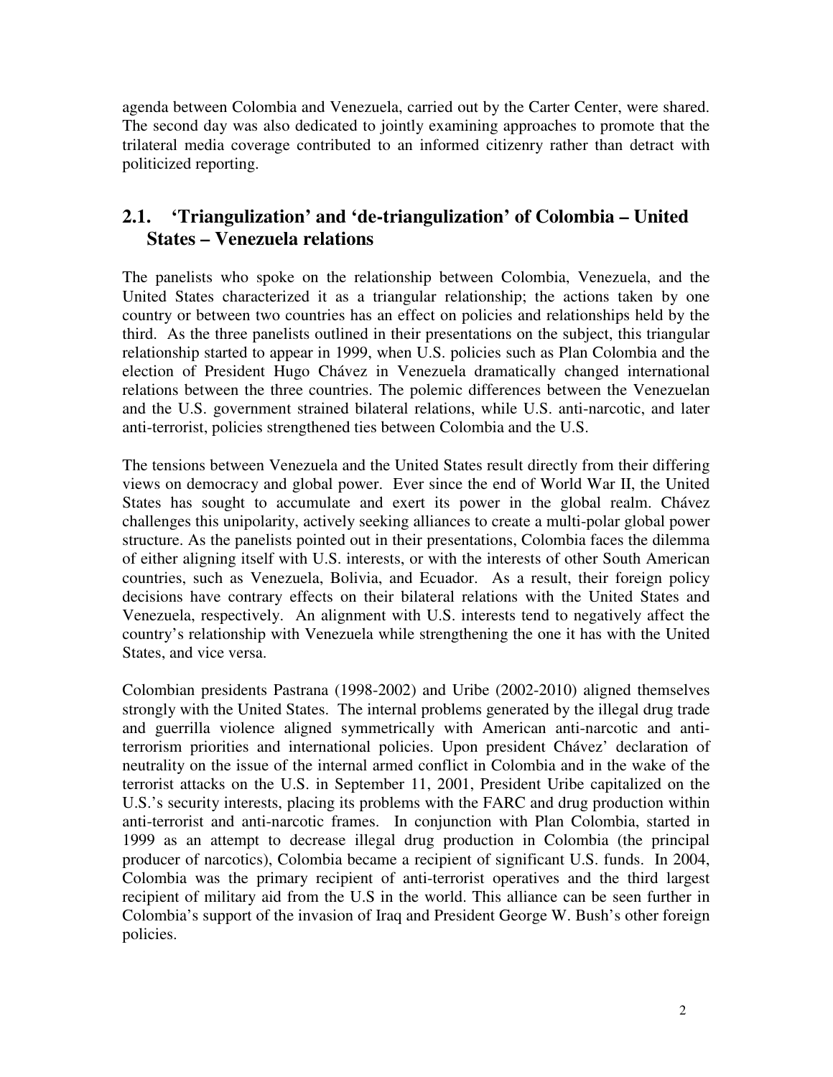agenda between Colombia and Venezuela, carried out by the Carter Center, were shared. The second day was also dedicated to jointly examining approaches to promote that the trilateral media coverage contributed to an informed citizenry rather than detract with politicized reporting.

### **2.1. 'Triangulization' and 'de-triangulization' of Colombia – United States – Venezuela relations**

The panelists who spoke on the relationship between Colombia, Venezuela, and the United States characterized it as a triangular relationship; the actions taken by one country or between two countries has an effect on policies and relationships held by the third. As the three panelists outlined in their presentations on the subject, this triangular relationship started to appear in 1999, when U.S. policies such as Plan Colombia and the election of President Hugo Chávez in Venezuela dramatically changed international relations between the three countries. The polemic differences between the Venezuelan and the U.S. government strained bilateral relations, while U.S. anti-narcotic, and later anti-terrorist, policies strengthened ties between Colombia and the U.S.

The tensions between Venezuela and the United States result directly from their differing views on democracy and global power. Ever since the end of World War II, the United States has sought to accumulate and exert its power in the global realm. Chávez challenges this unipolarity, actively seeking alliances to create a multi-polar global power structure. As the panelists pointed out in their presentations, Colombia faces the dilemma of either aligning itself with U.S. interests, or with the interests of other South American countries, such as Venezuela, Bolivia, and Ecuador. As a result, their foreign policy decisions have contrary effects on their bilateral relations with the United States and Venezuela, respectively. An alignment with U.S. interests tend to negatively affect the country's relationship with Venezuela while strengthening the one it has with the United States, and vice versa.

Colombian presidents Pastrana (1998-2002) and Uribe (2002-2010) aligned themselves strongly with the United States. The internal problems generated by the illegal drug trade and guerrilla violence aligned symmetrically with American anti-narcotic and antiterrorism priorities and international policies. Upon president Chávez' declaration of neutrality on the issue of the internal armed conflict in Colombia and in the wake of the terrorist attacks on the U.S. in September 11, 2001, President Uribe capitalized on the U.S.'s security interests, placing its problems with the FARC and drug production within anti-terrorist and anti-narcotic frames. In conjunction with Plan Colombia, started in 1999 as an attempt to decrease illegal drug production in Colombia (the principal producer of narcotics), Colombia became a recipient of significant U.S. funds. In 2004, Colombia was the primary recipient of anti-terrorist operatives and the third largest recipient of military aid from the U.S in the world. This alliance can be seen further in Colombia's support of the invasion of Iraq and President George W. Bush's other foreign policies.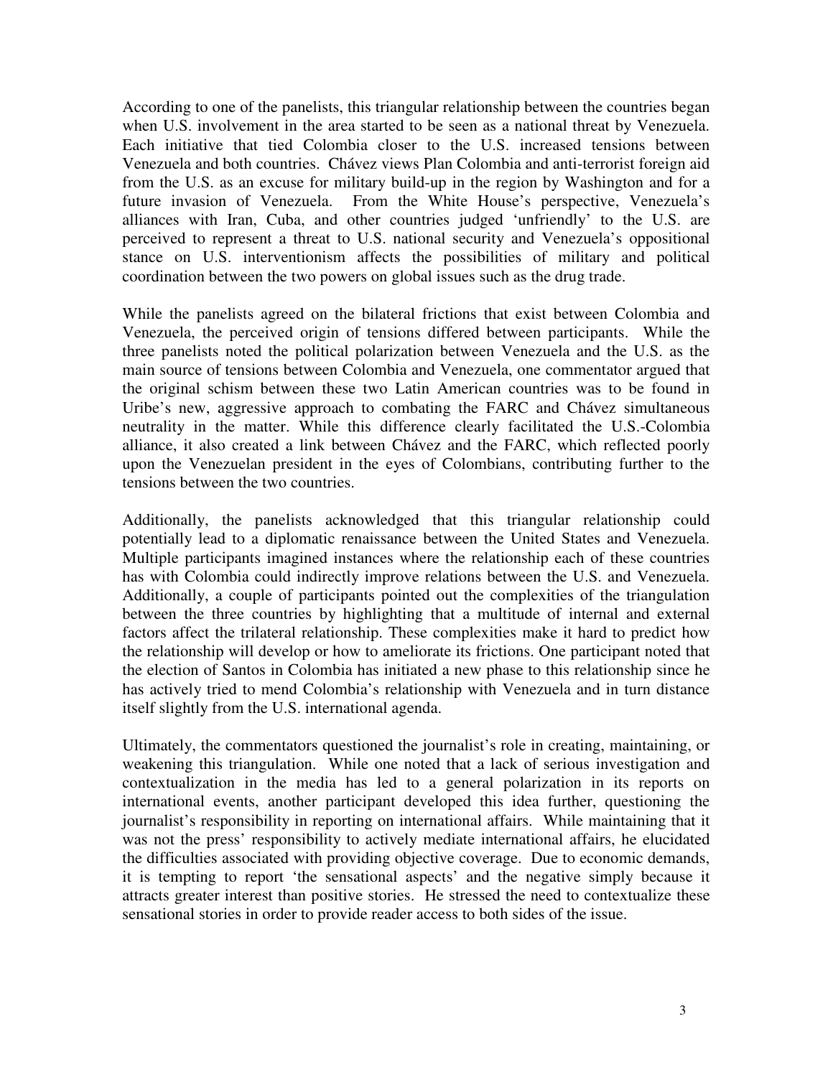According to one of the panelists, this triangular relationship between the countries began when U.S. involvement in the area started to be seen as a national threat by Venezuela. Each initiative that tied Colombia closer to the U.S. increased tensions between Venezuela and both countries. Chávez views Plan Colombia and anti-terrorist foreign aid from the U.S. as an excuse for military build-up in the region by Washington and for a future invasion of Venezuela. From the White House's perspective, Venezuela's alliances with Iran, Cuba, and other countries judged 'unfriendly' to the U.S. are perceived to represent a threat to U.S. national security and Venezuela's oppositional stance on U.S. interventionism affects the possibilities of military and political coordination between the two powers on global issues such as the drug trade.

While the panelists agreed on the bilateral frictions that exist between Colombia and Venezuela, the perceived origin of tensions differed between participants. While the three panelists noted the political polarization between Venezuela and the U.S. as the main source of tensions between Colombia and Venezuela, one commentator argued that the original schism between these two Latin American countries was to be found in Uribe's new, aggressive approach to combating the FARC and Chávez simultaneous neutrality in the matter. While this difference clearly facilitated the U.S.-Colombia alliance, it also created a link between Chávez and the FARC, which reflected poorly upon the Venezuelan president in the eyes of Colombians, contributing further to the tensions between the two countries.

Additionally, the panelists acknowledged that this triangular relationship could potentially lead to a diplomatic renaissance between the United States and Venezuela. Multiple participants imagined instances where the relationship each of these countries has with Colombia could indirectly improve relations between the U.S. and Venezuela. Additionally, a couple of participants pointed out the complexities of the triangulation between the three countries by highlighting that a multitude of internal and external factors affect the trilateral relationship. These complexities make it hard to predict how the relationship will develop or how to ameliorate its frictions. One participant noted that the election of Santos in Colombia has initiated a new phase to this relationship since he has actively tried to mend Colombia's relationship with Venezuela and in turn distance itself slightly from the U.S. international agenda.

Ultimately, the commentators questioned the journalist's role in creating, maintaining, or weakening this triangulation. While one noted that a lack of serious investigation and contextualization in the media has led to a general polarization in its reports on international events, another participant developed this idea further, questioning the journalist's responsibility in reporting on international affairs. While maintaining that it was not the press' responsibility to actively mediate international affairs, he elucidated the difficulties associated with providing objective coverage. Due to economic demands, it is tempting to report 'the sensational aspects' and the negative simply because it attracts greater interest than positive stories. He stressed the need to contextualize these sensational stories in order to provide reader access to both sides of the issue.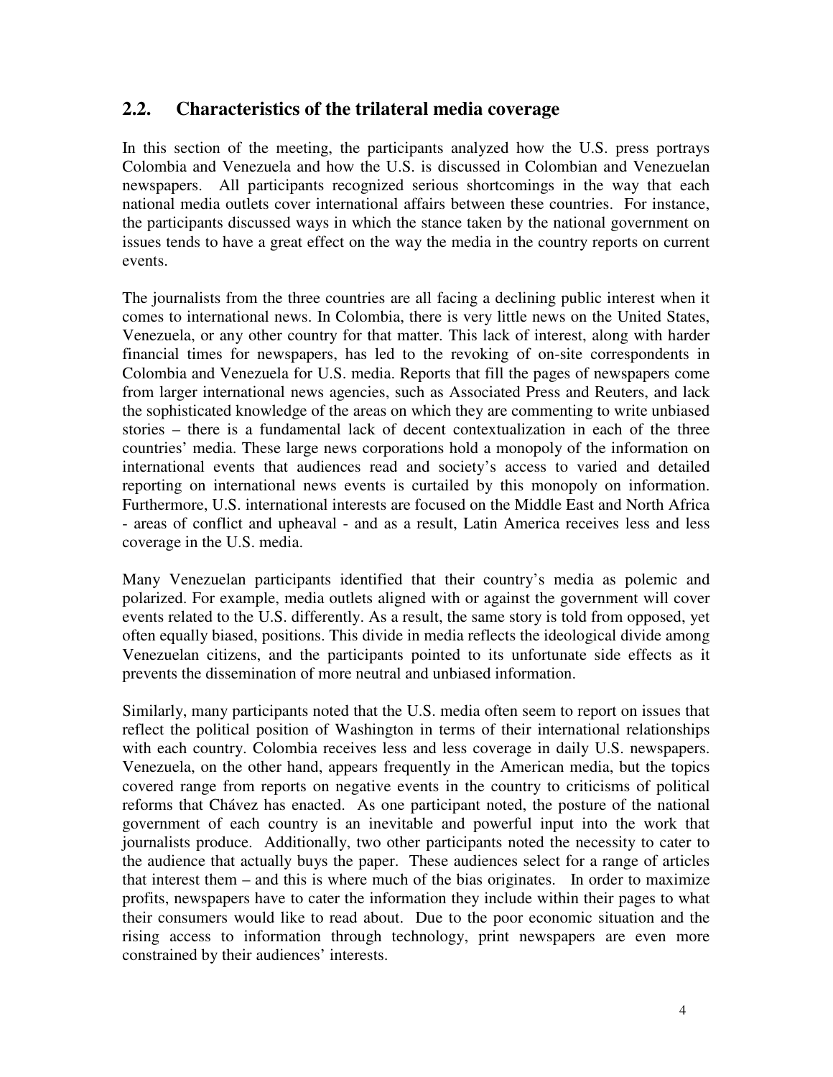#### **2.2. Characteristics of the trilateral media coverage**

In this section of the meeting, the participants analyzed how the U.S. press portrays Colombia and Venezuela and how the U.S. is discussed in Colombian and Venezuelan newspapers. All participants recognized serious shortcomings in the way that each national media outlets cover international affairs between these countries. For instance, the participants discussed ways in which the stance taken by the national government on issues tends to have a great effect on the way the media in the country reports on current events.

The journalists from the three countries are all facing a declining public interest when it comes to international news. In Colombia, there is very little news on the United States, Venezuela, or any other country for that matter. This lack of interest, along with harder financial times for newspapers, has led to the revoking of on-site correspondents in Colombia and Venezuela for U.S. media. Reports that fill the pages of newspapers come from larger international news agencies, such as Associated Press and Reuters, and lack the sophisticated knowledge of the areas on which they are commenting to write unbiased stories – there is a fundamental lack of decent contextualization in each of the three countries' media. These large news corporations hold a monopoly of the information on international events that audiences read and society's access to varied and detailed reporting on international news events is curtailed by this monopoly on information. Furthermore, U.S. international interests are focused on the Middle East and North Africa - areas of conflict and upheaval - and as a result, Latin America receives less and less coverage in the U.S. media.

Many Venezuelan participants identified that their country's media as polemic and polarized. For example, media outlets aligned with or against the government will cover events related to the U.S. differently. As a result, the same story is told from opposed, yet often equally biased, positions. This divide in media reflects the ideological divide among Venezuelan citizens, and the participants pointed to its unfortunate side effects as it prevents the dissemination of more neutral and unbiased information.

Similarly, many participants noted that the U.S. media often seem to report on issues that reflect the political position of Washington in terms of their international relationships with each country. Colombia receives less and less coverage in daily U.S. newspapers. Venezuela, on the other hand, appears frequently in the American media, but the topics covered range from reports on negative events in the country to criticisms of political reforms that Chávez has enacted. As one participant noted, the posture of the national government of each country is an inevitable and powerful input into the work that journalists produce. Additionally, two other participants noted the necessity to cater to the audience that actually buys the paper. These audiences select for a range of articles that interest them – and this is where much of the bias originates. In order to maximize profits, newspapers have to cater the information they include within their pages to what their consumers would like to read about. Due to the poor economic situation and the rising access to information through technology, print newspapers are even more constrained by their audiences' interests.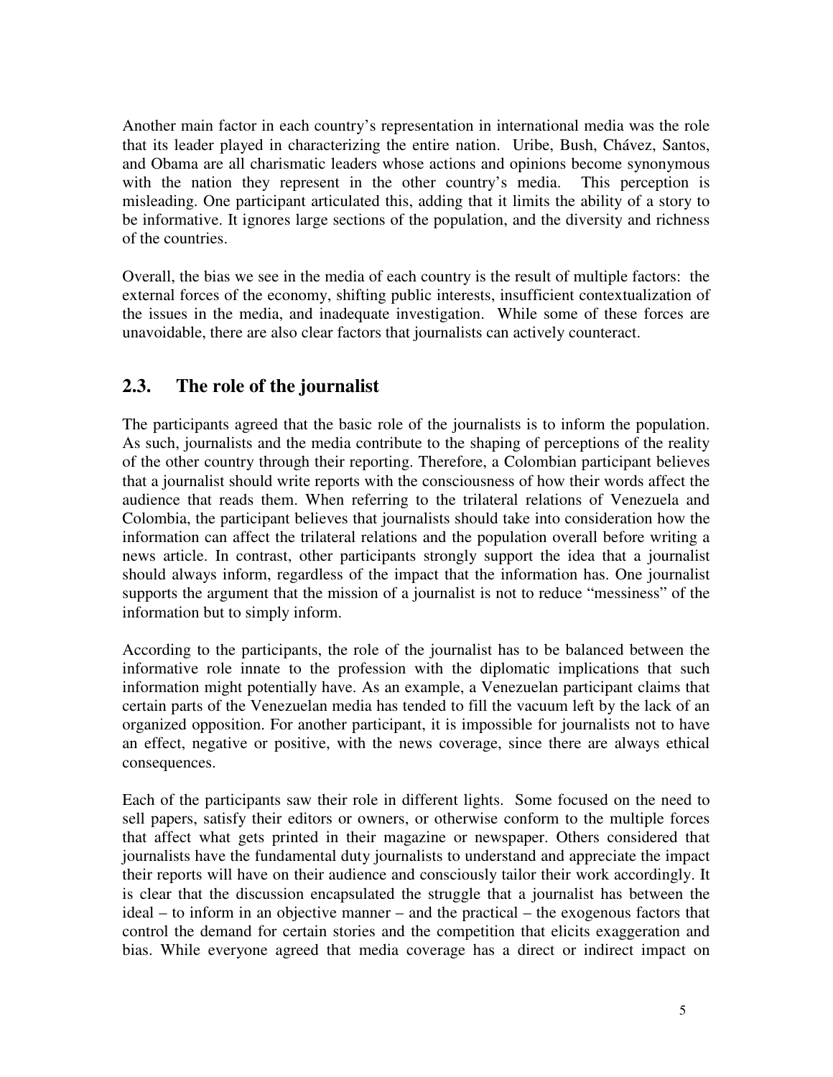Another main factor in each country's representation in international media was the role that its leader played in characterizing the entire nation. Uribe, Bush, Chávez, Santos, and Obama are all charismatic leaders whose actions and opinions become synonymous with the nation they represent in the other country's media. This perception is misleading. One participant articulated this, adding that it limits the ability of a story to be informative. It ignores large sections of the population, and the diversity and richness of the countries.

Overall, the bias we see in the media of each country is the result of multiple factors: the external forces of the economy, shifting public interests, insufficient contextualization of the issues in the media, and inadequate investigation. While some of these forces are unavoidable, there are also clear factors that journalists can actively counteract.

### **2.3. The role of the journalist**

The participants agreed that the basic role of the journalists is to inform the population. As such, journalists and the media contribute to the shaping of perceptions of the reality of the other country through their reporting. Therefore, a Colombian participant believes that a journalist should write reports with the consciousness of how their words affect the audience that reads them. When referring to the trilateral relations of Venezuela and Colombia, the participant believes that journalists should take into consideration how the information can affect the trilateral relations and the population overall before writing a news article. In contrast, other participants strongly support the idea that a journalist should always inform, regardless of the impact that the information has. One journalist supports the argument that the mission of a journalist is not to reduce "messiness" of the information but to simply inform.

According to the participants, the role of the journalist has to be balanced between the informative role innate to the profession with the diplomatic implications that such information might potentially have. As an example, a Venezuelan participant claims that certain parts of the Venezuelan media has tended to fill the vacuum left by the lack of an organized opposition. For another participant, it is impossible for journalists not to have an effect, negative or positive, with the news coverage, since there are always ethical consequences.

Each of the participants saw their role in different lights. Some focused on the need to sell papers, satisfy their editors or owners, or otherwise conform to the multiple forces that affect what gets printed in their magazine or newspaper. Others considered that journalists have the fundamental duty journalists to understand and appreciate the impact their reports will have on their audience and consciously tailor their work accordingly. It is clear that the discussion encapsulated the struggle that a journalist has between the ideal – to inform in an objective manner – and the practical – the exogenous factors that control the demand for certain stories and the competition that elicits exaggeration and bias. While everyone agreed that media coverage has a direct or indirect impact on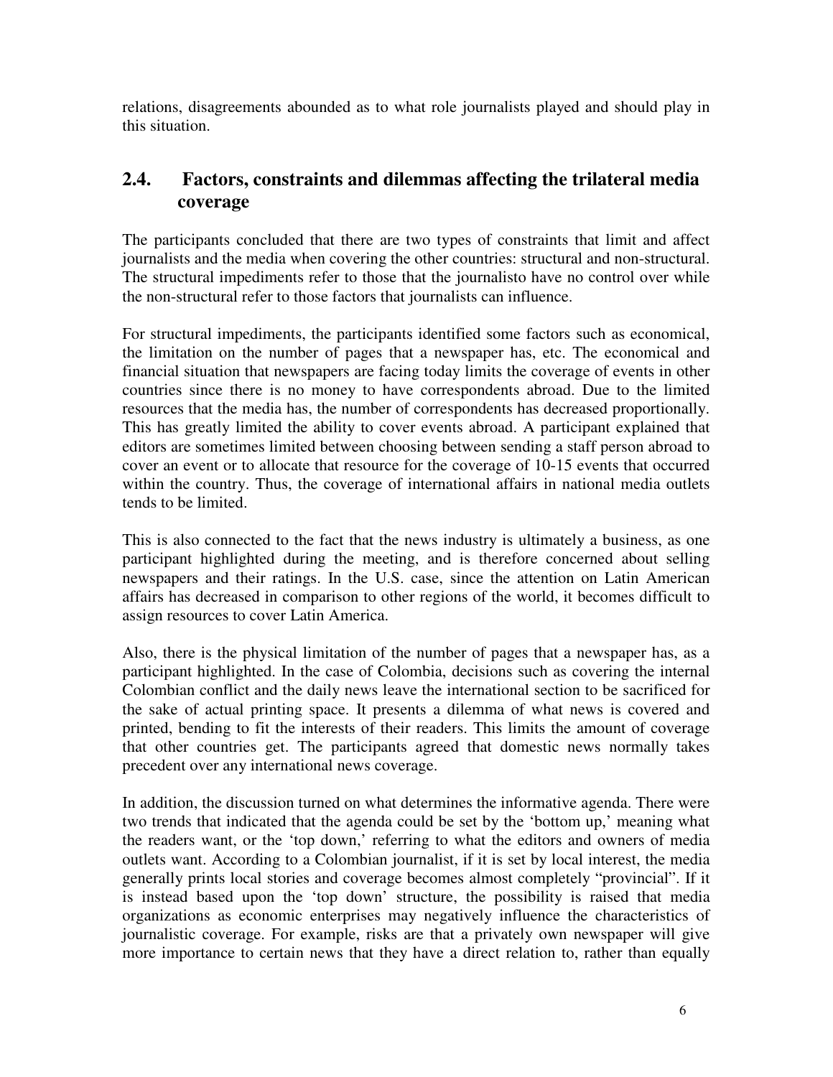relations, disagreements abounded as to what role journalists played and should play in this situation.

## **2.4. Factors, constraints and dilemmas affecting the trilateral media coverage**

The participants concluded that there are two types of constraints that limit and affect journalists and the media when covering the other countries: structural and non-structural. The structural impediments refer to those that the journalisto have no control over while the non-structural refer to those factors that journalists can influence.

For structural impediments, the participants identified some factors such as economical, the limitation on the number of pages that a newspaper has, etc. The economical and financial situation that newspapers are facing today limits the coverage of events in other countries since there is no money to have correspondents abroad. Due to the limited resources that the media has, the number of correspondents has decreased proportionally. This has greatly limited the ability to cover events abroad. A participant explained that editors are sometimes limited between choosing between sending a staff person abroad to cover an event or to allocate that resource for the coverage of 10-15 events that occurred within the country. Thus, the coverage of international affairs in national media outlets tends to be limited.

This is also connected to the fact that the news industry is ultimately a business, as one participant highlighted during the meeting, and is therefore concerned about selling newspapers and their ratings. In the U.S. case, since the attention on Latin American affairs has decreased in comparison to other regions of the world, it becomes difficult to assign resources to cover Latin America.

Also, there is the physical limitation of the number of pages that a newspaper has, as a participant highlighted. In the case of Colombia, decisions such as covering the internal Colombian conflict and the daily news leave the international section to be sacrificed for the sake of actual printing space. It presents a dilemma of what news is covered and printed, bending to fit the interests of their readers. This limits the amount of coverage that other countries get. The participants agreed that domestic news normally takes precedent over any international news coverage.

In addition, the discussion turned on what determines the informative agenda. There were two trends that indicated that the agenda could be set by the 'bottom up,' meaning what the readers want, or the 'top down,' referring to what the editors and owners of media outlets want. According to a Colombian journalist, if it is set by local interest, the media generally prints local stories and coverage becomes almost completely "provincial". If it is instead based upon the 'top down' structure, the possibility is raised that media organizations as economic enterprises may negatively influence the characteristics of journalistic coverage. For example, risks are that a privately own newspaper will give more importance to certain news that they have a direct relation to, rather than equally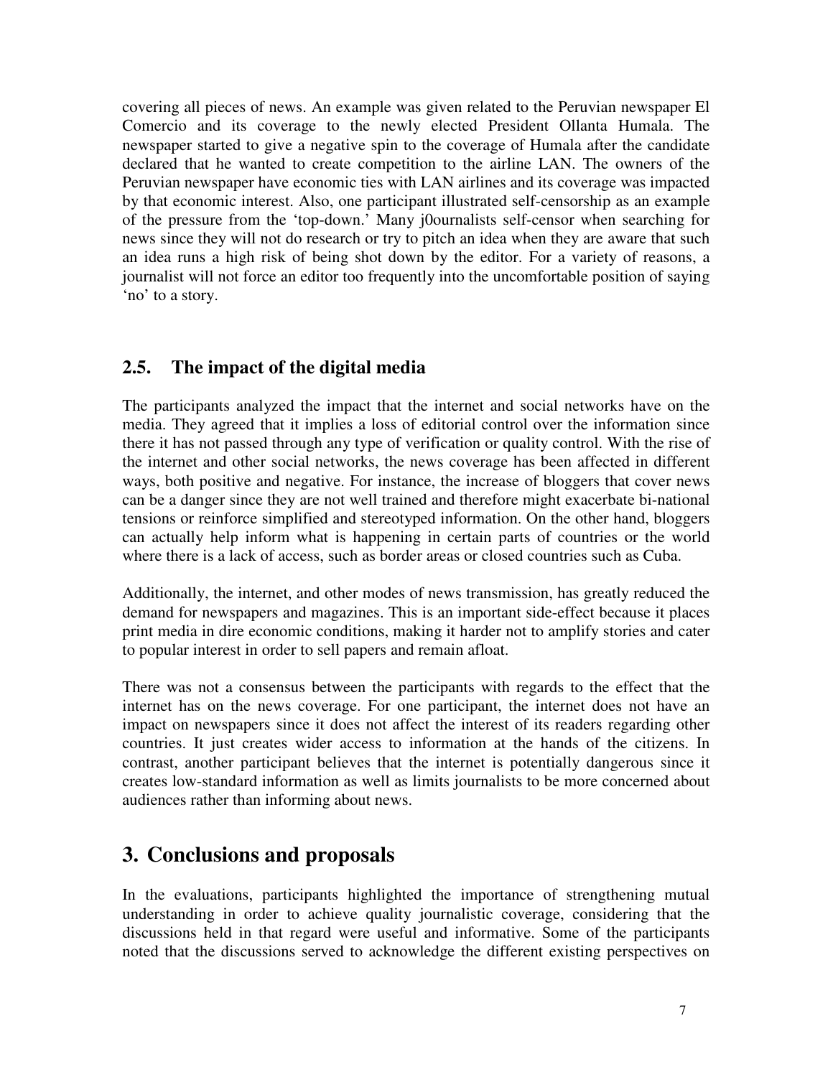covering all pieces of news. An example was given related to the Peruvian newspaper El Comercio and its coverage to the newly elected President Ollanta Humala. The newspaper started to give a negative spin to the coverage of Humala after the candidate declared that he wanted to create competition to the airline LAN. The owners of the Peruvian newspaper have economic ties with LAN airlines and its coverage was impacted by that economic interest. Also, one participant illustrated self-censorship as an example of the pressure from the 'top-down.' Many j0ournalists self-censor when searching for news since they will not do research or try to pitch an idea when they are aware that such an idea runs a high risk of being shot down by the editor. For a variety of reasons, a journalist will not force an editor too frequently into the uncomfortable position of saying 'no' to a story.

### **2.5. The impact of the digital media**

The participants analyzed the impact that the internet and social networks have on the media. They agreed that it implies a loss of editorial control over the information since there it has not passed through any type of verification or quality control. With the rise of the internet and other social networks, the news coverage has been affected in different ways, both positive and negative. For instance, the increase of bloggers that cover news can be a danger since they are not well trained and therefore might exacerbate bi-national tensions or reinforce simplified and stereotyped information. On the other hand, bloggers can actually help inform what is happening in certain parts of countries or the world where there is a lack of access, such as border areas or closed countries such as Cuba.

Additionally, the internet, and other modes of news transmission, has greatly reduced the demand for newspapers and magazines. This is an important side-effect because it places print media in dire economic conditions, making it harder not to amplify stories and cater to popular interest in order to sell papers and remain afloat.

There was not a consensus between the participants with regards to the effect that the internet has on the news coverage. For one participant, the internet does not have an impact on newspapers since it does not affect the interest of its readers regarding other countries. It just creates wider access to information at the hands of the citizens. In contrast, another participant believes that the internet is potentially dangerous since it creates low-standard information as well as limits journalists to be more concerned about audiences rather than informing about news.

# **3. Conclusions and proposals**

In the evaluations, participants highlighted the importance of strengthening mutual understanding in order to achieve quality journalistic coverage, considering that the discussions held in that regard were useful and informative. Some of the participants noted that the discussions served to acknowledge the different existing perspectives on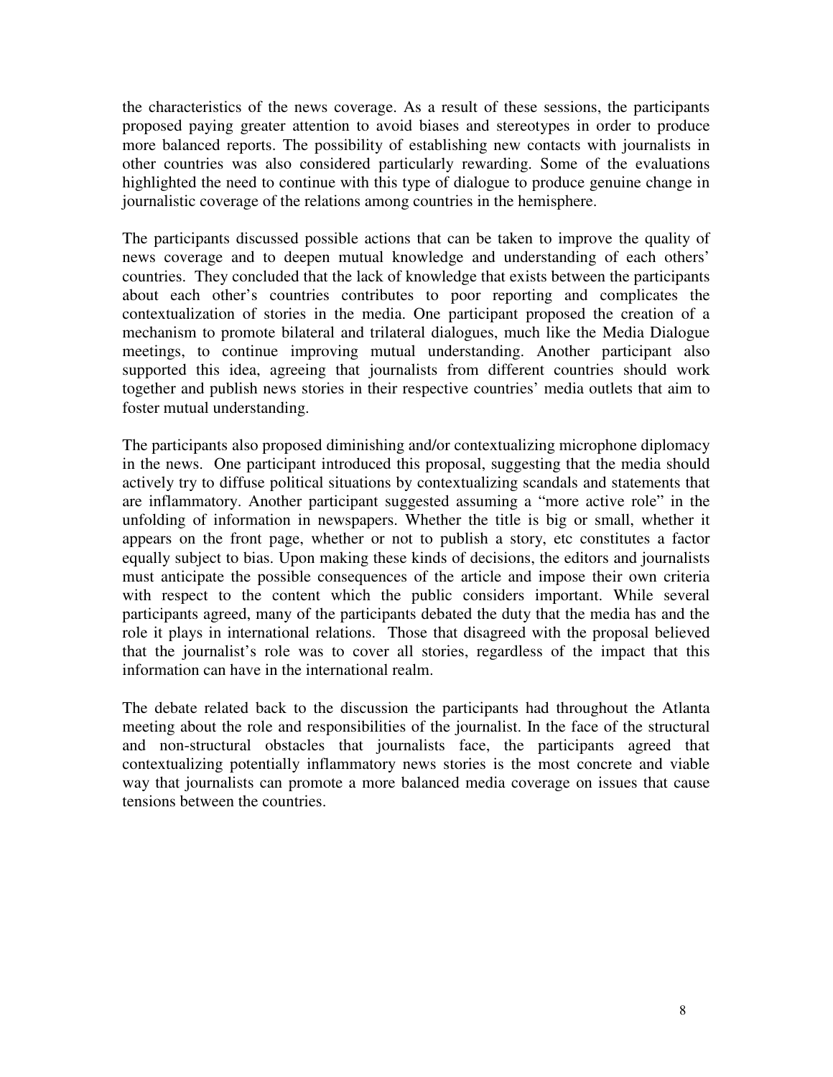the characteristics of the news coverage. As a result of these sessions, the participants proposed paying greater attention to avoid biases and stereotypes in order to produce more balanced reports. The possibility of establishing new contacts with journalists in other countries was also considered particularly rewarding. Some of the evaluations highlighted the need to continue with this type of dialogue to produce genuine change in journalistic coverage of the relations among countries in the hemisphere.

The participants discussed possible actions that can be taken to improve the quality of news coverage and to deepen mutual knowledge and understanding of each others' countries. They concluded that the lack of knowledge that exists between the participants about each other's countries contributes to poor reporting and complicates the contextualization of stories in the media. One participant proposed the creation of a mechanism to promote bilateral and trilateral dialogues, much like the Media Dialogue meetings, to continue improving mutual understanding. Another participant also supported this idea, agreeing that journalists from different countries should work together and publish news stories in their respective countries' media outlets that aim to foster mutual understanding.

The participants also proposed diminishing and/or contextualizing microphone diplomacy in the news. One participant introduced this proposal, suggesting that the media should actively try to diffuse political situations by contextualizing scandals and statements that are inflammatory. Another participant suggested assuming a "more active role" in the unfolding of information in newspapers. Whether the title is big or small, whether it appears on the front page, whether or not to publish a story, etc constitutes a factor equally subject to bias. Upon making these kinds of decisions, the editors and journalists must anticipate the possible consequences of the article and impose their own criteria with respect to the content which the public considers important. While several participants agreed, many of the participants debated the duty that the media has and the role it plays in international relations. Those that disagreed with the proposal believed that the journalist's role was to cover all stories, regardless of the impact that this information can have in the international realm.

The debate related back to the discussion the participants had throughout the Atlanta meeting about the role and responsibilities of the journalist. In the face of the structural and non-structural obstacles that journalists face, the participants agreed that contextualizing potentially inflammatory news stories is the most concrete and viable way that journalists can promote a more balanced media coverage on issues that cause tensions between the countries.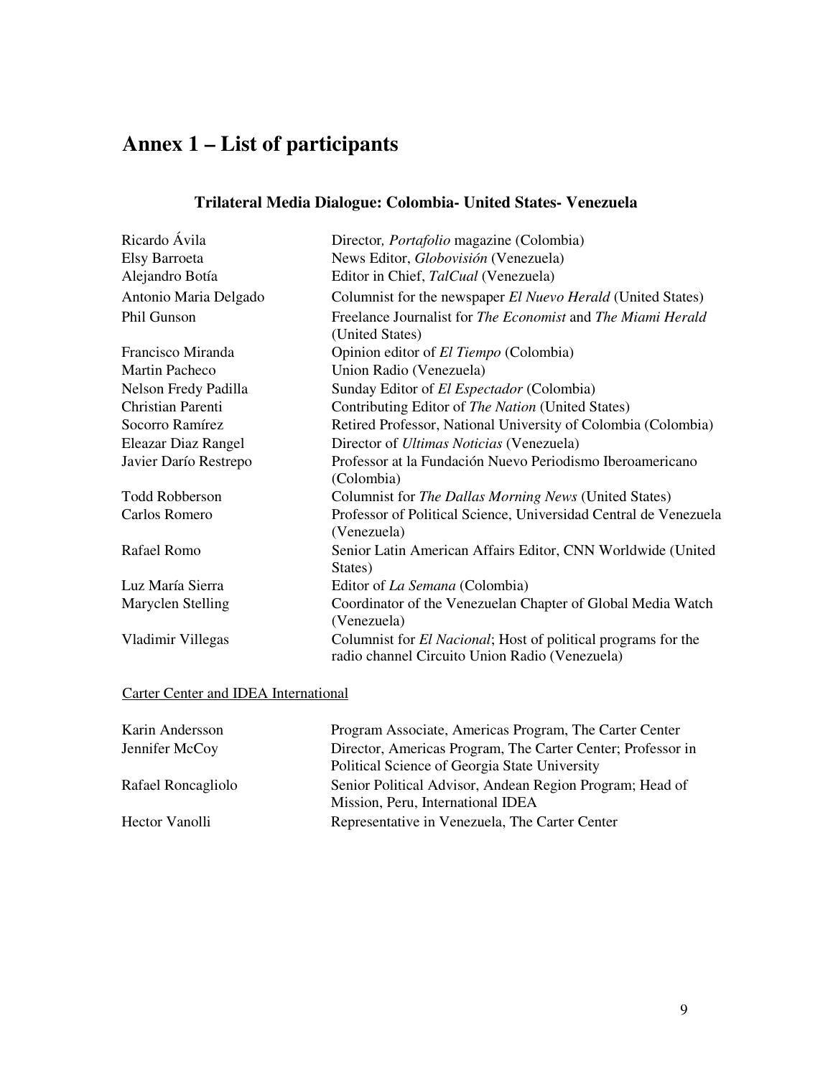# **Annex 1 – List of participants**

| Ricardo Ávila         | Director, <i>Portafolio</i> magazine (Colombia)                                                                         |  |
|-----------------------|-------------------------------------------------------------------------------------------------------------------------|--|
| Elsy Barroeta         | News Editor, Globovisión (Venezuela)                                                                                    |  |
| Alejandro Botía       | Editor in Chief, TalCual (Venezuela)                                                                                    |  |
| Antonio Maria Delgado | Columnist for the newspaper El Nuevo Herald (United States)                                                             |  |
| Phil Gunson           | Freelance Journalist for The Economist and The Miami Herald                                                             |  |
|                       | (United States)                                                                                                         |  |
| Francisco Miranda     | Opinion editor of <i>El Tiempo</i> (Colombia)                                                                           |  |
| <b>Martin Pacheco</b> | Union Radio (Venezuela)                                                                                                 |  |
| Nelson Fredy Padilla  | Sunday Editor of <i>El Espectador</i> (Colombia)                                                                        |  |
| Christian Parenti     | Contributing Editor of The Nation (United States)                                                                       |  |
| Socorro Ramírez       | Retired Professor, National University of Colombia (Colombia)                                                           |  |
| Eleazar Diaz Rangel   | Director of <i>Ultimas Noticias</i> (Venezuela)                                                                         |  |
| Javier Darío Restrepo | Professor at la Fundación Nuevo Periodismo Iberoamericano                                                               |  |
|                       | (Colombia)                                                                                                              |  |
| <b>Todd Robberson</b> | Columnist for The Dallas Morning News (United States)                                                                   |  |
| Carlos Romero         | Professor of Political Science, Universidad Central de Venezuela                                                        |  |
|                       | (Venezuela)                                                                                                             |  |
| Rafael Romo           | Senior Latin American Affairs Editor, CNN Worldwide (United                                                             |  |
|                       | States)                                                                                                                 |  |
| Luz María Sierra      | Editor of La Semana (Colombia)                                                                                          |  |
| Maryclen Stelling     | Coordinator of the Venezuelan Chapter of Global Media Watch                                                             |  |
|                       | (Venezuela)                                                                                                             |  |
| Vladimir Villegas     | Columnist for <i>El Nacional</i> ; Host of political programs for the<br>radio channel Circuito Union Radio (Venezuela) |  |

#### **Trilateral Media Dialogue: Colombia- United States- Venezuela**

#### Carter Center and IDEA International

| Program Associate, Americas Program, The Carter Center      |
|-------------------------------------------------------------|
| Director, Americas Program, The Carter Center; Professor in |
| Political Science of Georgia State University               |
| Senior Political Advisor, Andean Region Program; Head of    |
| Mission, Peru, International IDEA                           |
| Representative in Venezuela, The Carter Center              |
|                                                             |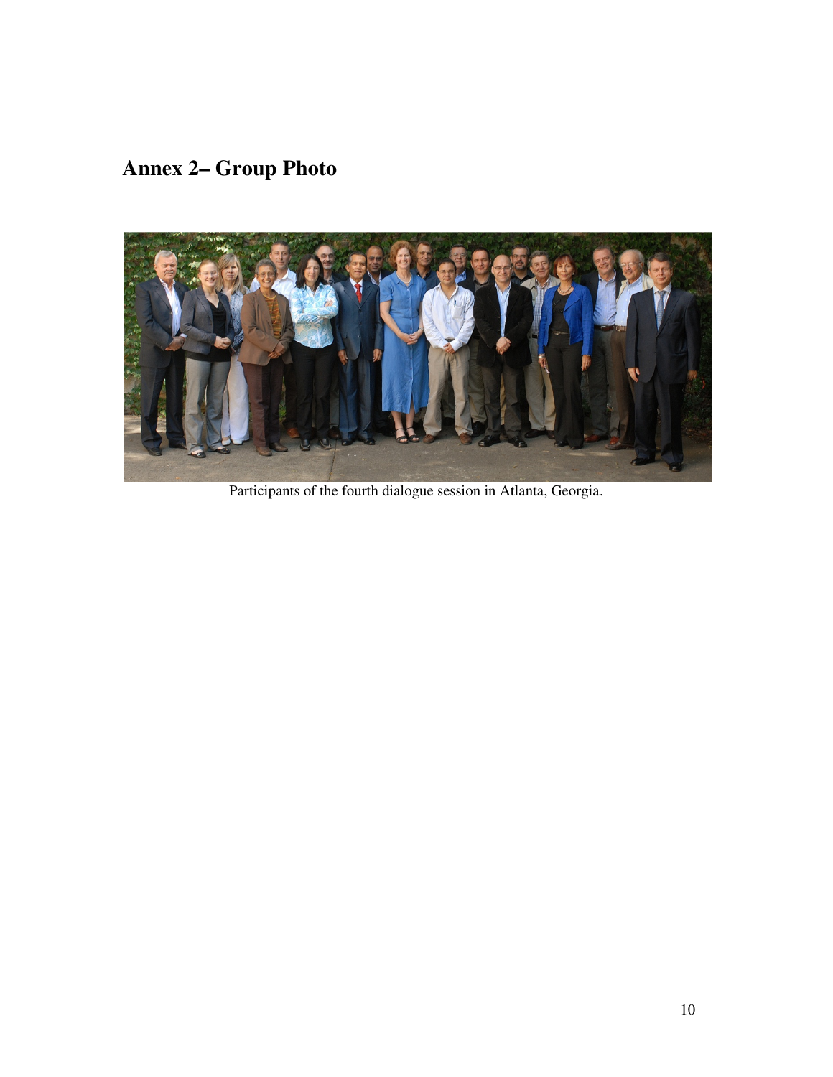**Annex 2– Group Photo** 



Participants of the fourth dialogue session in Atlanta, Georgia.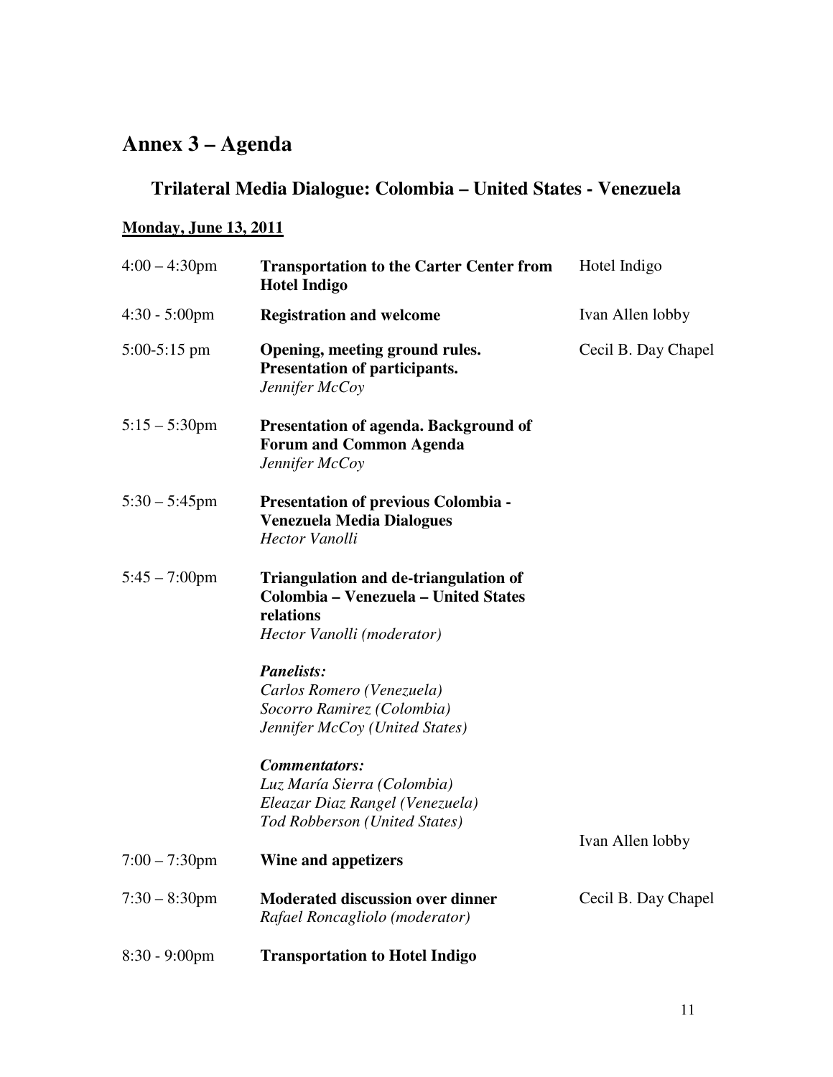# **Annex 3 – Agenda**

# **Trilateral Media Dialogue: Colombia – United States - Venezuela**

#### **Monday, June 13, 2011**

| $4:00 - 4:30$ pm        | <b>Transportation to the Carter Center from</b><br><b>Hotel Indigo</b>                                                          | Hotel Indigo        |
|-------------------------|---------------------------------------------------------------------------------------------------------------------------------|---------------------|
| $4:30 - 5:00 \text{pm}$ | <b>Registration and welcome</b>                                                                                                 | Ivan Allen lobby    |
| $5:00-5:15$ pm          | Opening, meeting ground rules.<br>Presentation of participants.<br>Jennifer McCoy                                               | Cecil B. Day Chapel |
| $5:15 - 5:30$ pm        | Presentation of agenda. Background of<br><b>Forum and Common Agenda</b><br>Jennifer McCoy                                       |                     |
| $5:30 - 5:45$ pm        | <b>Presentation of previous Colombia -</b><br><b>Venezuela Media Dialogues</b><br><b>Hector Vanolli</b>                         |                     |
| $5:45 - 7:00$ pm        | <b>Triangulation and de-triangulation of</b><br>Colombia - Venezuela - United States<br>relations<br>Hector Vanolli (moderator) |                     |
|                         | <b>Panelists:</b><br>Carlos Romero (Venezuela)<br>Socorro Ramirez (Colombia)<br>Jennifer McCoy (United States)                  |                     |
|                         | <b>Commentators:</b><br>Luz María Sierra (Colombia)<br>Eleazar Diaz Rangel (Venezuela)<br>Tod Robberson (United States)         |                     |
| $7:00 - 7:30$ pm        | <b>Wine and appetizers</b>                                                                                                      | Ivan Allen lobby    |
| $7:30 - 8:30$ pm        | <b>Moderated discussion over dinner</b><br>Rafael Roncagliolo (moderator)                                                       | Cecil B. Day Chapel |
| $8:30 - 9:00$ pm        | <b>Transportation to Hotel Indigo</b>                                                                                           |                     |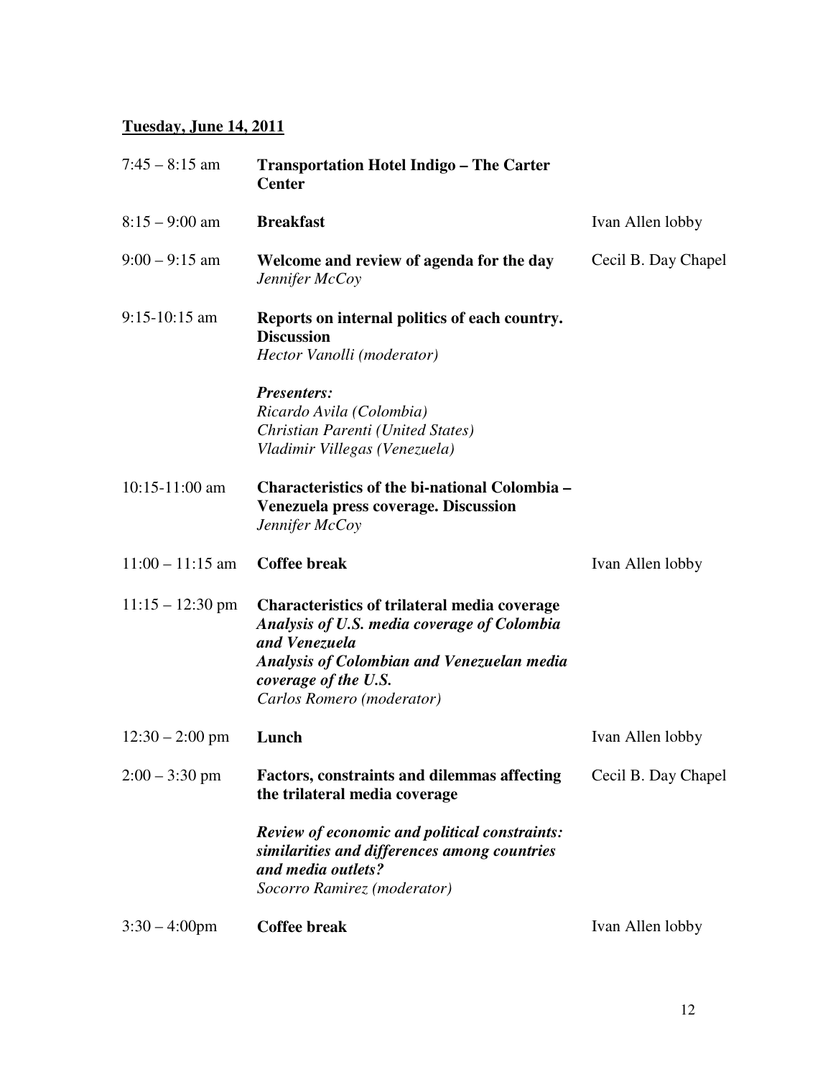#### **Tuesday, June 14, 2011**

| $7:45 - 8:15$ am   | <b>Transportation Hotel Indigo – The Carter</b><br><b>Center</b>                                                                                                                                                              |                     |
|--------------------|-------------------------------------------------------------------------------------------------------------------------------------------------------------------------------------------------------------------------------|---------------------|
| $8:15 - 9:00$ am   | <b>Breakfast</b>                                                                                                                                                                                                              | Ivan Allen lobby    |
| $9:00 - 9:15$ am   | Welcome and review of agenda for the day<br>Jennifer McCoy                                                                                                                                                                    | Cecil B. Day Chapel |
| $9:15-10:15$ am    | Reports on internal politics of each country.<br><b>Discussion</b><br>Hector Vanolli (moderator)                                                                                                                              |                     |
|                    | <b>Presenters:</b><br>Ricardo Avila (Colombia)<br>Christian Parenti (United States)<br>Vladimir Villegas (Venezuela)                                                                                                          |                     |
| $10:15-11:00$ am   | <b>Characteristics of the bi-national Colombia -</b><br><b>Venezuela press coverage. Discussion</b><br>Jennifer McCoy                                                                                                         |                     |
| $11:00 - 11:15$ am | <b>Coffee break</b>                                                                                                                                                                                                           | Ivan Allen lobby    |
| $11:15 - 12:30$ pm | <b>Characteristics of trilateral media coverage</b><br>Analysis of U.S. media coverage of Colombia<br>and Venezuela<br><b>Analysis of Colombian and Venezuelan media</b><br>coverage of the U.S.<br>Carlos Romero (moderator) |                     |
| $12:30 - 2:00$ pm  | Lunch                                                                                                                                                                                                                         | Ivan Allen lobby    |
| $2:00 - 3:30$ pm   | <b>Factors, constraints and dilemmas affecting</b><br>the trilateral media coverage                                                                                                                                           | Cecil B. Day Chapel |
|                    | <b>Review of economic and political constraints:</b><br>similarities and differences among countries<br>and media outlets?<br>Socorro Ramirez (moderator)                                                                     |                     |
| $3:30 - 4:00$ pm   | <b>Coffee break</b>                                                                                                                                                                                                           | Ivan Allen lobby    |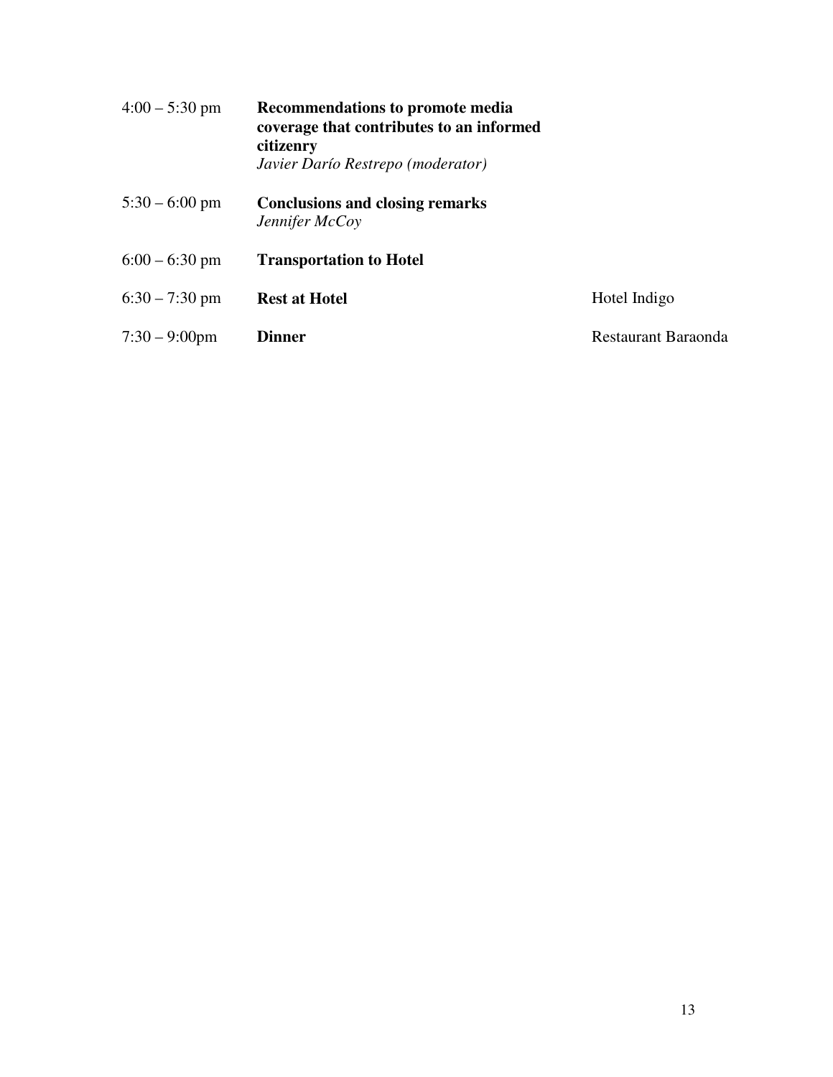| $4:00 - 5:30$ pm | <b>Recommendations to promote media</b><br>coverage that contributes to an informed<br>citizenry<br>Javier Darío Restrepo (moderator) |                     |
|------------------|---------------------------------------------------------------------------------------------------------------------------------------|---------------------|
| $5:30 - 6:00$ pm | <b>Conclusions and closing remarks</b><br>Jennifer McCoy                                                                              |                     |
| $6:00 - 6:30$ pm | <b>Transportation to Hotel</b>                                                                                                        |                     |
| $6:30 - 7:30$ pm | <b>Rest at Hotel</b>                                                                                                                  | Hotel Indigo        |
| $7:30 - 9:00$ pm | Dinner                                                                                                                                | Restaurant Baraonda |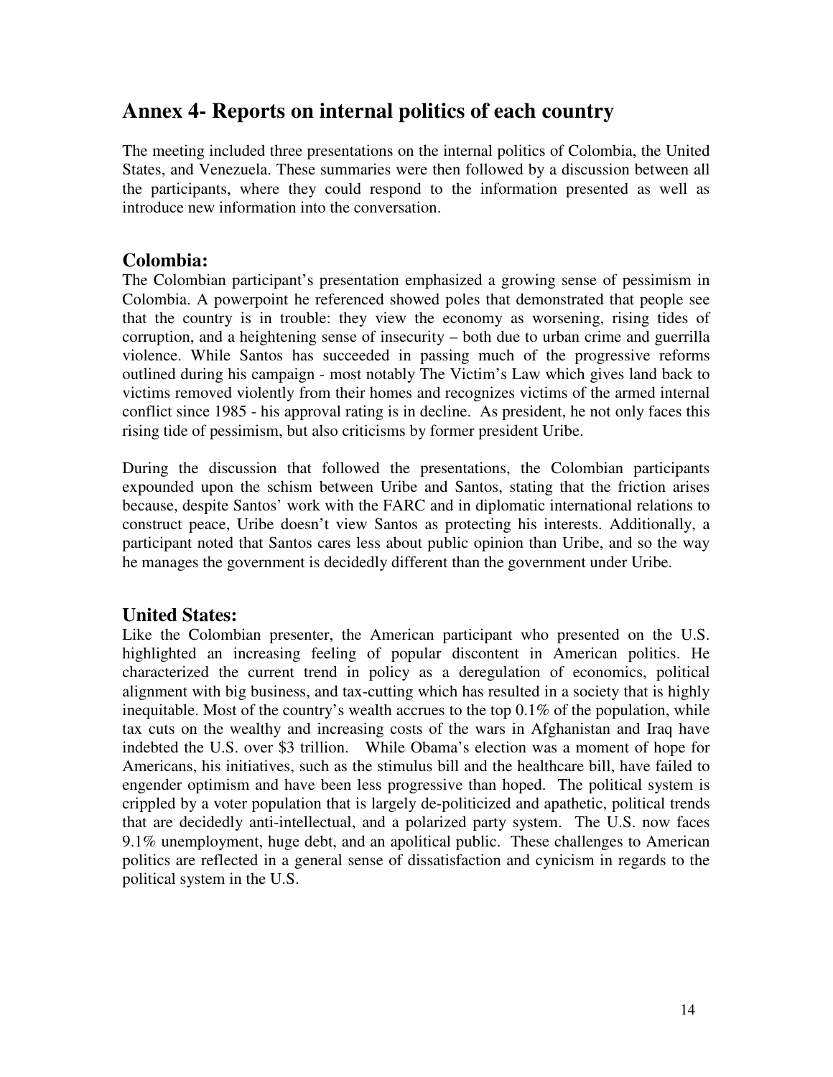# **Annex 4- Reports on internal politics of each country**

The meeting included three presentations on the internal politics of Colombia, the United States, and Venezuela. These summaries were then followed by a discussion between all the participants, where they could respond to the information presented as well as introduce new information into the conversation.

#### **Colombia:**

The Colombian participant's presentation emphasized a growing sense of pessimism in Colombia. A powerpoint he referenced showed poles that demonstrated that people see that the country is in trouble: they view the economy as worsening, rising tides of corruption, and a heightening sense of insecurity – both due to urban crime and guerrilla violence. While Santos has succeeded in passing much of the progressive reforms outlined during his campaign - most notably The Victim's Law which gives land back to victims removed violently from their homes and recognizes victims of the armed internal conflict since 1985 - his approval rating is in decline. As president, he not only faces this rising tide of pessimism, but also criticisms by former president Uribe.

During the discussion that followed the presentations, the Colombian participants expounded upon the schism between Uribe and Santos, stating that the friction arises because, despite Santos' work with the FARC and in diplomatic international relations to construct peace, Uribe doesn't view Santos as protecting his interests. Additionally, a participant noted that Santos cares less about public opinion than Uribe, and so the way he manages the government is decidedly different than the government under Uribe.

### **United States:**

Like the Colombian presenter, the American participant who presented on the U.S. highlighted an increasing feeling of popular discontent in American politics. He characterized the current trend in policy as a deregulation of economics, political alignment with big business, and tax-cutting which has resulted in a society that is highly inequitable. Most of the country's wealth accrues to the top 0.1% of the population, while tax cuts on the wealthy and increasing costs of the wars in Afghanistan and Iraq have indebted the U.S. over \$3 trillion. While Obama's election was a moment of hope for Americans, his initiatives, such as the stimulus bill and the healthcare bill, have failed to engender optimism and have been less progressive than hoped. The political system is crippled by a voter population that is largely de-politicized and apathetic, political trends that are decidedly anti-intellectual, and a polarized party system. The U.S. now faces 9.1% unemployment, huge debt, and an apolitical public. These challenges to American politics are reflected in a general sense of dissatisfaction and cynicism in regards to the political system in the U.S.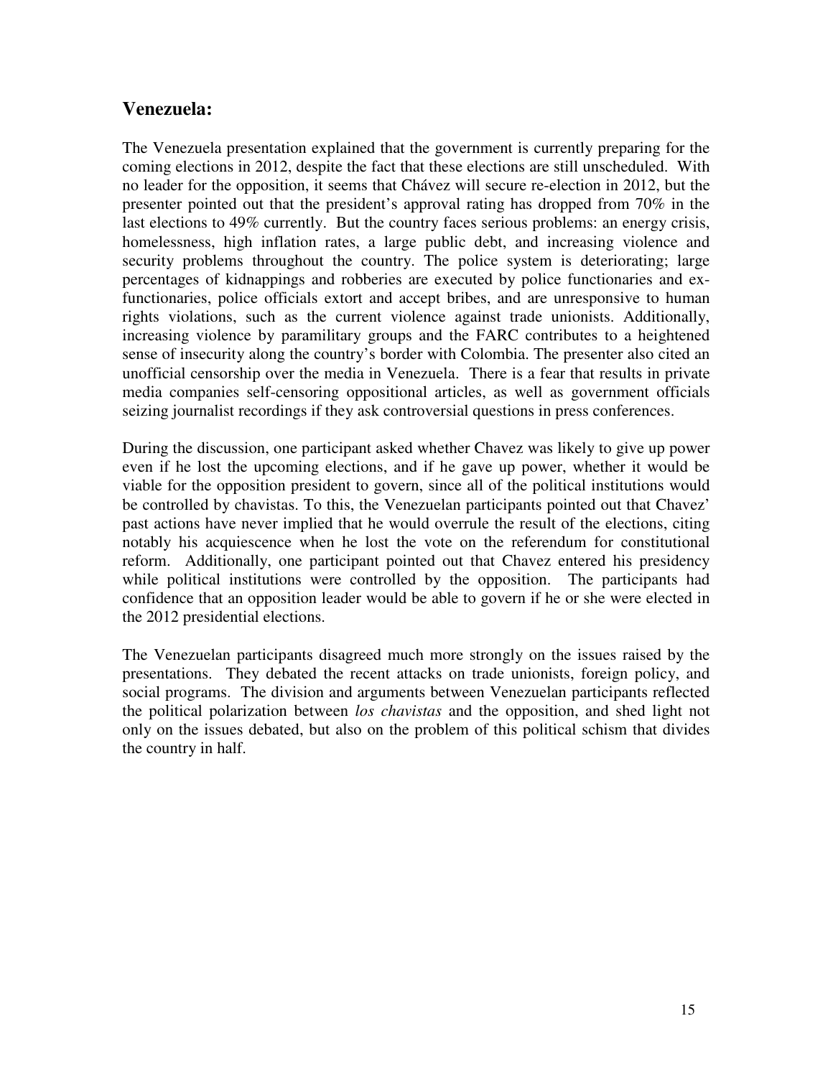#### **Venezuela:**

The Venezuela presentation explained that the government is currently preparing for the coming elections in 2012, despite the fact that these elections are still unscheduled. With no leader for the opposition, it seems that Chávez will secure re-election in 2012, but the presenter pointed out that the president's approval rating has dropped from 70% in the last elections to 49% currently. But the country faces serious problems: an energy crisis, homelessness, high inflation rates, a large public debt, and increasing violence and security problems throughout the country. The police system is deteriorating; large percentages of kidnappings and robberies are executed by police functionaries and exfunctionaries, police officials extort and accept bribes, and are unresponsive to human rights violations, such as the current violence against trade unionists. Additionally, increasing violence by paramilitary groups and the FARC contributes to a heightened sense of insecurity along the country's border with Colombia. The presenter also cited an unofficial censorship over the media in Venezuela. There is a fear that results in private media companies self-censoring oppositional articles, as well as government officials seizing journalist recordings if they ask controversial questions in press conferences.

During the discussion, one participant asked whether Chavez was likely to give up power even if he lost the upcoming elections, and if he gave up power, whether it would be viable for the opposition president to govern, since all of the political institutions would be controlled by chavistas. To this, the Venezuelan participants pointed out that Chavez' past actions have never implied that he would overrule the result of the elections, citing notably his acquiescence when he lost the vote on the referendum for constitutional reform. Additionally, one participant pointed out that Chavez entered his presidency while political institutions were controlled by the opposition. The participants had confidence that an opposition leader would be able to govern if he or she were elected in the 2012 presidential elections.

The Venezuelan participants disagreed much more strongly on the issues raised by the presentations. They debated the recent attacks on trade unionists, foreign policy, and social programs. The division and arguments between Venezuelan participants reflected the political polarization between *los chavistas* and the opposition, and shed light not only on the issues debated, but also on the problem of this political schism that divides the country in half.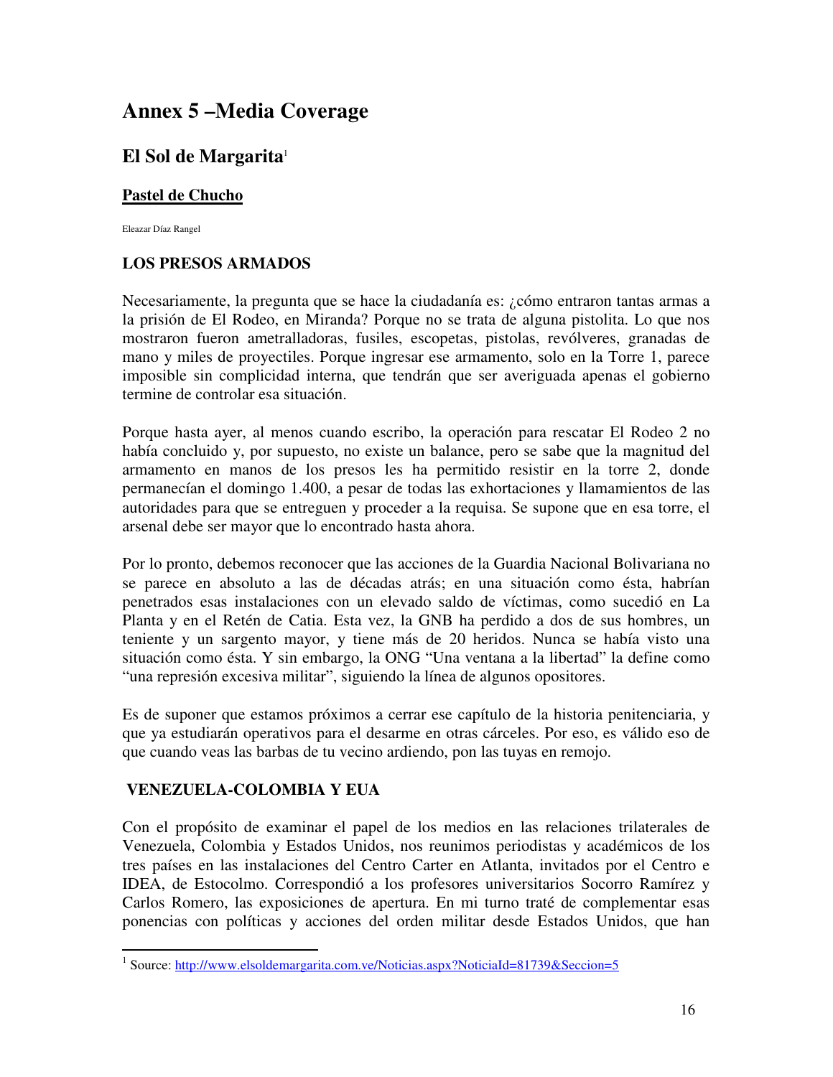# **Annex 5 –Media Coverage**

## **El Sol de Margarita**<sup>1</sup>

#### **Pastel de Chucho**

Eleazar Díaz Rangel

#### **LOS PRESOS ARMADOS**

Necesariamente, la pregunta que se hace la ciudadanía es: ¿cómo entraron tantas armas a la prisión de El Rodeo, en Miranda? Porque no se trata de alguna pistolita. Lo que nos mostraron fueron ametralladoras, fusiles, escopetas, pistolas, revólveres, granadas de mano y miles de proyectiles. Porque ingresar ese armamento, solo en la Torre 1, parece imposible sin complicidad interna, que tendrán que ser averiguada apenas el gobierno termine de controlar esa situación.

Porque hasta ayer, al menos cuando escribo, la operación para rescatar El Rodeo 2 no había concluido y, por supuesto, no existe un balance, pero se sabe que la magnitud del armamento en manos de los presos les ha permitido resistir en la torre 2, donde permanecían el domingo 1.400, a pesar de todas las exhortaciones y llamamientos de las autoridades para que se entreguen y proceder a la requisa. Se supone que en esa torre, el arsenal debe ser mayor que lo encontrado hasta ahora.

Por lo pronto, debemos reconocer que las acciones de la Guardia Nacional Bolivariana no se parece en absoluto a las de décadas atrás; en una situación como ésta, habrían penetrados esas instalaciones con un elevado saldo de víctimas, como sucedió en La Planta y en el Retén de Catia. Esta vez, la GNB ha perdido a dos de sus hombres, un teniente y un sargento mayor, y tiene más de 20 heridos. Nunca se había visto una situación como ésta. Y sin embargo, la ONG "Una ventana a la libertad" la define como "una represión excesiva militar", siguiendo la línea de algunos opositores.

Es de suponer que estamos próximos a cerrar ese capítulo de la historia penitenciaria, y que ya estudiarán operativos para el desarme en otras cárceles. Por eso, es válido eso de que cuando veas las barbas de tu vecino ardiendo, pon las tuyas en remojo.

#### **VENEZUELA-COLOMBIA Y EUA**

 $\overline{a}$ 

Con el propósito de examinar el papel de los medios en las relaciones trilaterales de Venezuela, Colombia y Estados Unidos, nos reunimos periodistas y académicos de los tres países en las instalaciones del Centro Carter en Atlanta, invitados por el Centro e IDEA, de Estocolmo. Correspondió a los profesores universitarios Socorro Ramírez y Carlos Romero, las exposiciones de apertura. En mi turno traté de complementar esas ponencias con políticas y acciones del orden militar desde Estados Unidos, que han

<sup>&</sup>lt;sup>1</sup> Source: http://www.elsoldemargarita.com.ve/Noticias.aspx?NoticiaId=81739&Seccion=5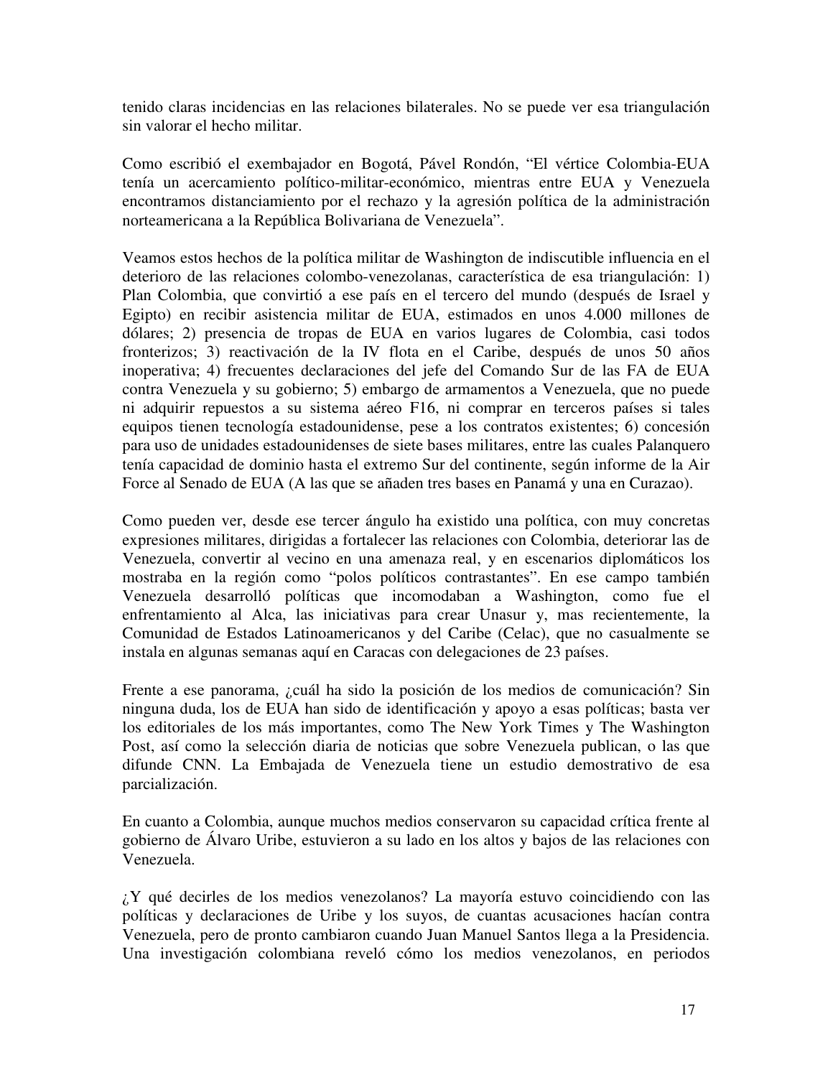tenido claras incidencias en las relaciones bilaterales. No se puede ver esa triangulación sin valorar el hecho militar.

Como escribió el exembajador en Bogotá, Pável Rondón, "El vértice Colombia-EUA tenía un acercamiento político-militar-económico, mientras entre EUA y Venezuela encontramos distanciamiento por el rechazo y la agresión política de la administración norteamericana a la República Bolivariana de Venezuela".

Veamos estos hechos de la política militar de Washington de indiscutible influencia en el deterioro de las relaciones colombo-venezolanas, característica de esa triangulación: 1) Plan Colombia, que convirtió a ese país en el tercero del mundo (después de Israel y Egipto) en recibir asistencia militar de EUA, estimados en unos 4.000 millones de dólares; 2) presencia de tropas de EUA en varios lugares de Colombia, casi todos fronterizos; 3) reactivación de la IV flota en el Caribe, después de unos 50 años inoperativa; 4) frecuentes declaraciones del jefe del Comando Sur de las FA de EUA contra Venezuela y su gobierno; 5) embargo de armamentos a Venezuela, que no puede ni adquirir repuestos a su sistema aéreo F16, ni comprar en terceros países si tales equipos tienen tecnología estadounidense, pese a los contratos existentes; 6) concesión para uso de unidades estadounidenses de siete bases militares, entre las cuales Palanquero tenía capacidad de dominio hasta el extremo Sur del continente, según informe de la Air Force al Senado de EUA (A las que se añaden tres bases en Panamá y una en Curazao).

Como pueden ver, desde ese tercer ángulo ha existido una política, con muy concretas expresiones militares, dirigidas a fortalecer las relaciones con Colombia, deteriorar las de Venezuela, convertir al vecino en una amenaza real, y en escenarios diplomáticos los mostraba en la región como "polos políticos contrastantes". En ese campo también Venezuela desarrolló políticas que incomodaban a Washington, como fue el enfrentamiento al Alca, las iniciativas para crear Unasur y, mas recientemente, la Comunidad de Estados Latinoamericanos y del Caribe (Celac), que no casualmente se instala en algunas semanas aquí en Caracas con delegaciones de 23 países.

Frente a ese panorama, ¿cuál ha sido la posición de los medios de comunicación? Sin ninguna duda, los de EUA han sido de identificación y apoyo a esas políticas; basta ver los editoriales de los más importantes, como The New York Times y The Washington Post, así como la selección diaria de noticias que sobre Venezuela publican, o las que difunde CNN. La Embajada de Venezuela tiene un estudio demostrativo de esa parcialización.

En cuanto a Colombia, aunque muchos medios conservaron su capacidad crítica frente al gobierno de Álvaro Uribe, estuvieron a su lado en los altos y bajos de las relaciones con Venezuela.

¿Y qué decirles de los medios venezolanos? La mayoría estuvo coincidiendo con las políticas y declaraciones de Uribe y los suyos, de cuantas acusaciones hacían contra Venezuela, pero de pronto cambiaron cuando Juan Manuel Santos llega a la Presidencia. Una investigación colombiana reveló cómo los medios venezolanos, en periodos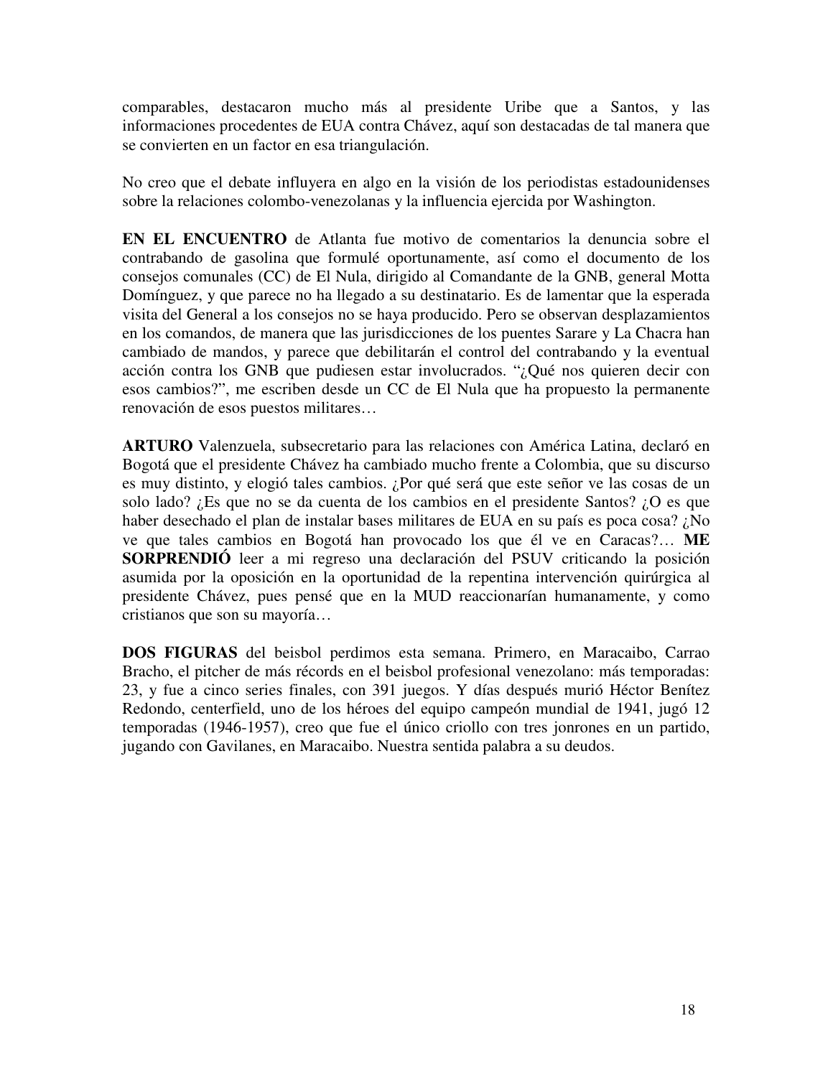comparables, destacaron mucho más al presidente Uribe que a Santos, y las informaciones procedentes de EUA contra Chávez, aquí son destacadas de tal manera que se convierten en un factor en esa triangulación.

No creo que el debate influyera en algo en la visión de los periodistas estadounidenses sobre la relaciones colombo-venezolanas y la influencia ejercida por Washington.

**EN EL ENCUENTRO** de Atlanta fue motivo de comentarios la denuncia sobre el contrabando de gasolina que formulé oportunamente, así como el documento de los consejos comunales (CC) de El Nula, dirigido al Comandante de la GNB, general Motta Domínguez, y que parece no ha llegado a su destinatario. Es de lamentar que la esperada visita del General a los consejos no se haya producido. Pero se observan desplazamientos en los comandos, de manera que las jurisdicciones de los puentes Sarare y La Chacra han cambiado de mandos, y parece que debilitarán el control del contrabando y la eventual acción contra los GNB que pudiesen estar involucrados. "¿Qué nos quieren decir con esos cambios?", me escriben desde un CC de El Nula que ha propuesto la permanente renovación de esos puestos militares…

**ARTURO** Valenzuela, subsecretario para las relaciones con América Latina, declaró en Bogotá que el presidente Chávez ha cambiado mucho frente a Colombia, que su discurso es muy distinto, y elogió tales cambios. ¿Por qué será que este señor ve las cosas de un solo lado? ¿Es que no se da cuenta de los cambios en el presidente Santos? ¿O es que haber desechado el plan de instalar bases militares de EUA en su país es poca cosa? ¿No ve que tales cambios en Bogotá han provocado los que él ve en Caracas?… **ME SORPRENDIÓ** leer a mi regreso una declaración del PSUV criticando la posición asumida por la oposición en la oportunidad de la repentina intervención quirúrgica al presidente Chávez, pues pensé que en la MUD reaccionarían humanamente, y como cristianos que son su mayoría…

**DOS FIGURAS** del beisbol perdimos esta semana. Primero, en Maracaibo, Carrao Bracho, el pitcher de más récords en el beisbol profesional venezolano: más temporadas: 23, y fue a cinco series finales, con 391 juegos. Y días después murió Héctor Benítez Redondo, centerfield, uno de los héroes del equipo campeón mundial de 1941, jugó 12 temporadas (1946-1957), creo que fue el único criollo con tres jonrones en un partido, jugando con Gavilanes, en Maracaibo. Nuestra sentida palabra a su deudos.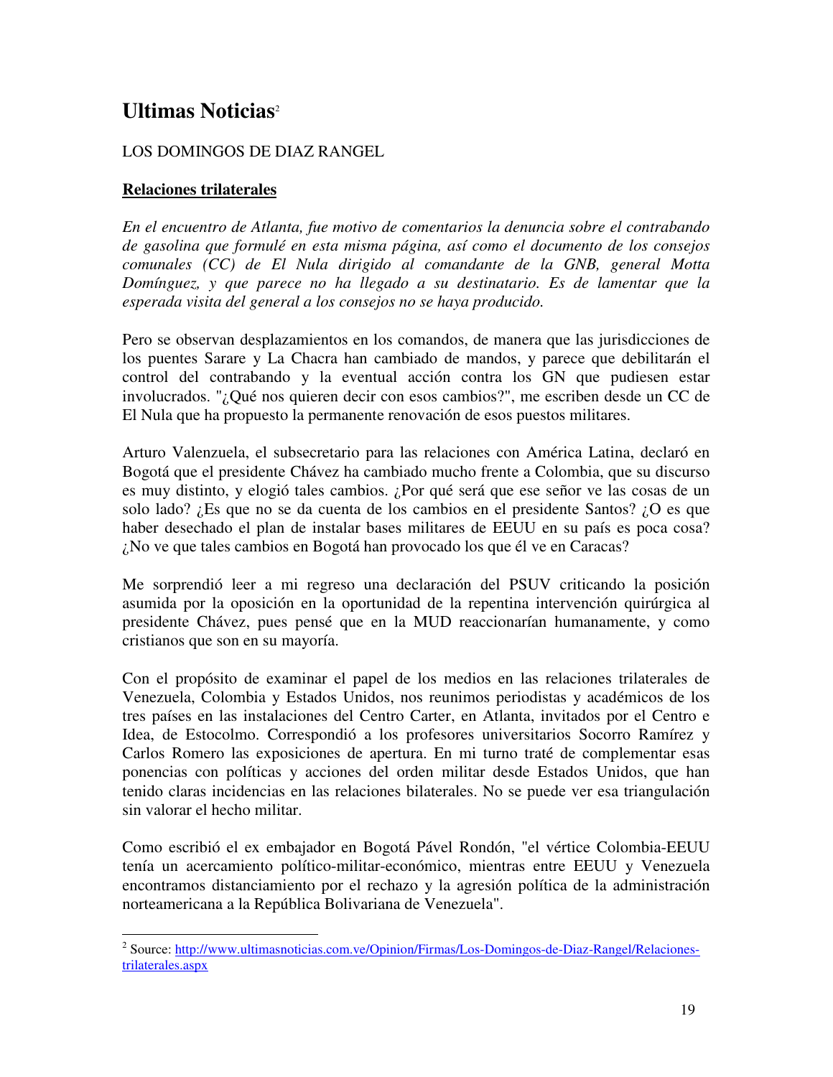# **Ultimas Noticias**<sup>2</sup>

#### LOS DOMINGOS DE DIAZ RANGEL

#### **Relaciones trilaterales**

 $\overline{a}$ 

*En el encuentro de Atlanta, fue motivo de comentarios la denuncia sobre el contrabando de gasolina que formulé en esta misma página, así como el documento de los consejos comunales (CC) de El Nula dirigido al comandante de la GNB, general Motta Domínguez, y que parece no ha llegado a su destinatario. Es de lamentar que la esperada visita del general a los consejos no se haya producido.* 

Pero se observan desplazamientos en los comandos, de manera que las jurisdicciones de los puentes Sarare y La Chacra han cambiado de mandos, y parece que debilitarán el control del contrabando y la eventual acción contra los GN que pudiesen estar involucrados. "¿Qué nos quieren decir con esos cambios?", me escriben desde un CC de El Nula que ha propuesto la permanente renovación de esos puestos militares.

Arturo Valenzuela, el subsecretario para las relaciones con América Latina, declaró en Bogotá que el presidente Chávez ha cambiado mucho frente a Colombia, que su discurso es muy distinto, y elogió tales cambios. ¿Por qué será que ese señor ve las cosas de un solo lado? ¿Es que no se da cuenta de los cambios en el presidente Santos? ¿O es que haber desechado el plan de instalar bases militares de EEUU en su país es poca cosa? ¿No ve que tales cambios en Bogotá han provocado los que él ve en Caracas?

Me sorprendió leer a mi regreso una declaración del PSUV criticando la posición asumida por la oposición en la oportunidad de la repentina intervención quirúrgica al presidente Chávez, pues pensé que en la MUD reaccionarían humanamente, y como cristianos que son en su mayoría.

Con el propósito de examinar el papel de los medios en las relaciones trilaterales de Venezuela, Colombia y Estados Unidos, nos reunimos periodistas y académicos de los tres países en las instalaciones del Centro Carter, en Atlanta, invitados por el Centro e Idea, de Estocolmo. Correspondió a los profesores universitarios Socorro Ramírez y Carlos Romero las exposiciones de apertura. En mi turno traté de complementar esas ponencias con políticas y acciones del orden militar desde Estados Unidos, que han tenido claras incidencias en las relaciones bilaterales. No se puede ver esa triangulación sin valorar el hecho militar.

Como escribió el ex embajador en Bogotá Pável Rondón, "el vértice Colombia-EEUU tenía un acercamiento político-militar-económico, mientras entre EEUU y Venezuela encontramos distanciamiento por el rechazo y la agresión política de la administración norteamericana a la República Bolivariana de Venezuela".

<sup>&</sup>lt;sup>2</sup> Source: http://www.ultimasnoticias.com.ve/Opinion/Firmas/Los-Domingos-de-Diaz-Rangel/Relacionestrilaterales.aspx